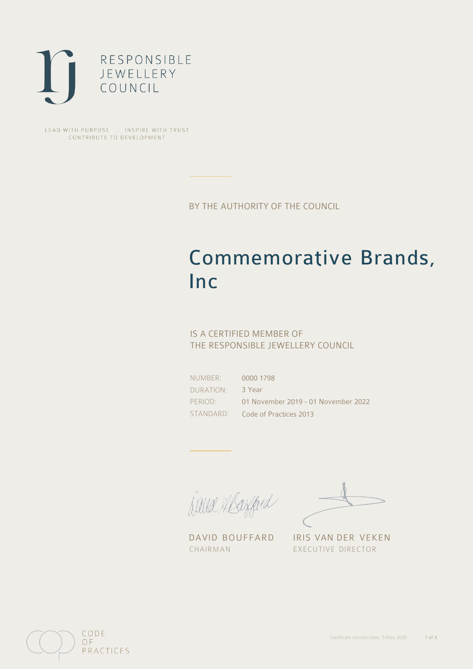

LEAD WITH PURPOSE . INSPIRE WITH TRUST CONTRIBUTE TO DEVELOPMENT

BY THE AUTHORITY OF THE COUNCIL

# Commemorative Brands, Inc

## IS A CERTIFIED MEMBER OF THE RESPONSIBLE JEWELLERY COUNCIL

NUMBER: DURATION: PERIOD:

STANDARD: Code of Practices 2013 0000 1798 3 Year 01 November 2019 - 01 November 2022

Balla Margard

DAVID BOUFFARD IRIS VAN DER VEKEN CHAIRMAN EXECUTIVE DIRECTOR

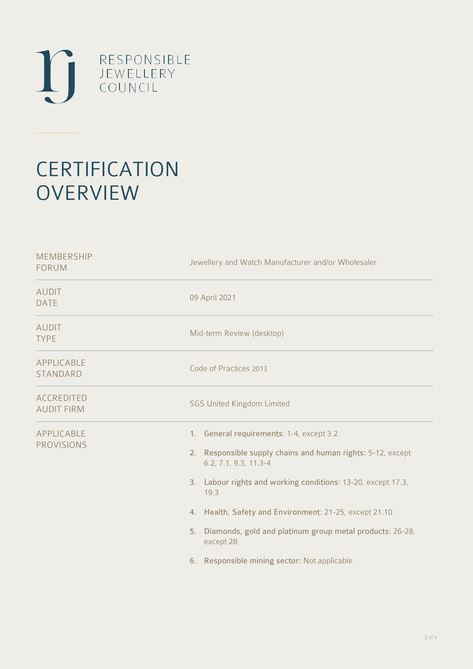

# **CERTIFICATION OVERVIEW**

| <b>MEMBERSHIP</b><br><b>FORUM</b>      | Jewellery and Watch Manufacturer and/or Wholesaler                                                                                                                                                                                                                                                                                                                                                |
|----------------------------------------|---------------------------------------------------------------------------------------------------------------------------------------------------------------------------------------------------------------------------------------------------------------------------------------------------------------------------------------------------------------------------------------------------|
| <b>AUDIT</b><br><b>DATE</b>            | 09 April 2021                                                                                                                                                                                                                                                                                                                                                                                     |
| <b>AUDIT</b><br><b>TYPE</b>            | Mid-term Review (desktop)                                                                                                                                                                                                                                                                                                                                                                         |
| APPLICABLE<br><b>STANDARD</b>          | Code of Practices 2013                                                                                                                                                                                                                                                                                                                                                                            |
| <b>ACCREDITED</b><br><b>AUDIT FIRM</b> | <b>SGS United Kingdom Limited</b>                                                                                                                                                                                                                                                                                                                                                                 |
| APPLICABLE<br><b>PROVISIONS</b>        | 1. General requirements: 1-4, except 3.2<br>2. Responsible supply chains and human rights: 5-12, except<br>6.2, 7.1, 9.3, 11.3-4<br>3. Labour rights and working conditions: 13-20, except 17.3,<br>19.3<br>4. Health, Safety and Environment: 21-25, except 21.10<br>Diamonds, gold and platinum group metal products: 26-28,<br>5.<br>except 28<br>6. Responsible mining sector: Not applicable |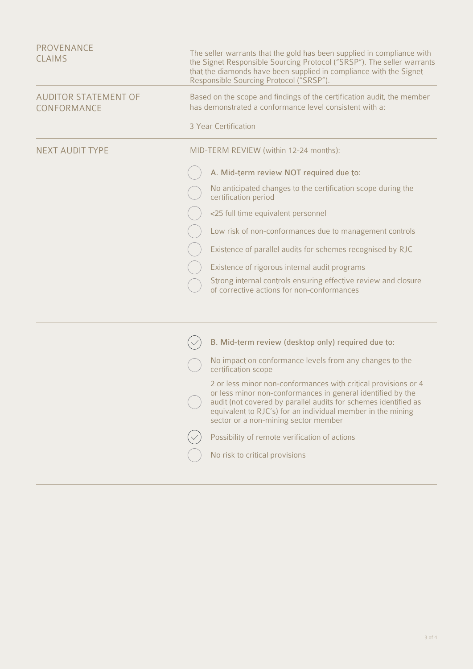| <b>PROVENANCE</b><br><b>CLAIMS</b>         | The seller warrants that the gold has been supplied in compliance with<br>the Signet Responsible Sourcing Protocol ("SRSP"). The seller warrants<br>that the diamonds have been supplied in compliance with the Signet<br>Responsible Sourcing Protocol ("SRSP").                                       |
|--------------------------------------------|---------------------------------------------------------------------------------------------------------------------------------------------------------------------------------------------------------------------------------------------------------------------------------------------------------|
| <b>AUDITOR STATEMENT OF</b><br>CONFORMANCE | Based on the scope and findings of the certification audit, the member<br>has demonstrated a conformance level consistent with a:                                                                                                                                                                       |
|                                            | 3 Year Certification                                                                                                                                                                                                                                                                                    |
| <b>NEXT AUDIT TYPE</b>                     | MID-TERM REVIEW (within 12-24 months):                                                                                                                                                                                                                                                                  |
|                                            | A. Mid-term review NOT required due to:                                                                                                                                                                                                                                                                 |
|                                            | No anticipated changes to the certification scope during the<br>certification period                                                                                                                                                                                                                    |
|                                            | <25 full time equivalent personnel                                                                                                                                                                                                                                                                      |
|                                            | Low risk of non-conformances due to management controls                                                                                                                                                                                                                                                 |
|                                            | Existence of parallel audits for schemes recognised by RJC                                                                                                                                                                                                                                              |
|                                            | Existence of rigorous internal audit programs                                                                                                                                                                                                                                                           |
|                                            | Strong internal controls ensuring effective review and closure<br>of corrective actions for non-conformances                                                                                                                                                                                            |
|                                            |                                                                                                                                                                                                                                                                                                         |
|                                            | B. Mid-term review (desktop only) required due to:                                                                                                                                                                                                                                                      |
|                                            | No impact on conformance levels from any changes to the<br>certification scope                                                                                                                                                                                                                          |
|                                            | 2 or less minor non-conformances with critical provisions or 4<br>or less minor non-conformances in general identified by the<br>audit (not covered by parallel audits for schemes identified as<br>equivalent to RJC's) for an individual member in the mining<br>sector or a non-mining sector member |
|                                            | Possibility of remote verification of actions                                                                                                                                                                                                                                                           |
|                                            | No risk to critical provisions                                                                                                                                                                                                                                                                          |